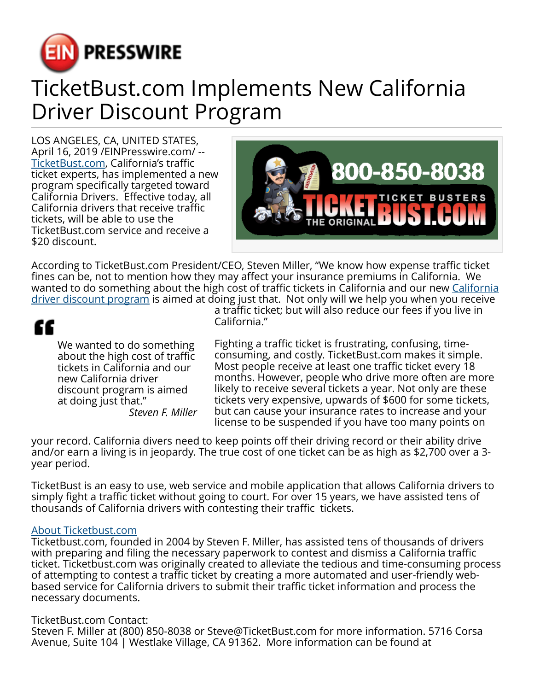

## TicketBust.com Implements New California Driver Discount Program

LOS ANGELES, CA, UNITED STATES, April 16, 2019 /[EINPresswire.com/](http://www.einpresswire.com) -- [TicketBust.com,](https://ticketbust.com/) California's traffic ticket experts, has implemented a new program specifically targeted toward California Drivers. Effective today, all California drivers that receive traffic tickets, will be able to use the TicketBust.com service and receive a \$20 discount.



According to TicketBust.com President/CEO, Steven Miller, "We know how expense traffic ticket fines can be, not to mention how they may affect your insurance premiums in California. We wanted to do something about the high cost of traffic tickets in [California](https://ticketbust.com/ca-driver-discount/) and our new California [driver discount program](https://ticketbust.com/ca-driver-discount/) is aimed at doing just that. Not only will we help you when you receive

## ££

We wanted to do something about the high cost of traffic tickets in California and our new California driver discount program is aimed at doing just that." *Steven F. Miller* a traffic ticket; but will also reduce our fees if you live in California."

Fighting a traffic ticket is frustrating, confusing, timeconsuming, and costly. TicketBust.com makes it simple. Most people receive at least one traffic ticket every 18 months. However, people who drive more often are more likely to receive several tickets a year. Not only are these tickets very expensive, upwards of \$600 for some tickets, but can cause your insurance rates to increase and your license to be suspended if you have too many points on

your record. California divers need to keep points off their driving record or their ability drive and/or earn a living is in jeopardy. The true cost of one ticket can be as high as \$2,700 over a 3 year period.

TicketBust is an easy to use, web service and mobile application that allows California drivers to simply fight a traffic ticket without going to court. For over 15 years, we have assisted tens of thousands of California drivers with contesting their traffic tickets.

## [About Ticketbust.com](https://ticketbust.com/how-it-works)

Ticketbust.com, founded in 2004 by Steven F. Miller, has assisted tens of thousands of drivers with preparing and filing the necessary paperwork to contest and dismiss a California traffic ticket. Ticketbust.com was originally created to alleviate the tedious and time-consuming process of attempting to contest a traffic ticket by creating a more automated and user-friendly webbased service for California drivers to submit their traffic ticket information and process the necessary documents.

## TicketBust.com Contact:

Steven F. Miller at (800) 850-8038 or Steve@TicketBust.com for more information. 5716 Corsa Avenue, Suite 104 | Westlake Village, CA 91362. More information can be found at